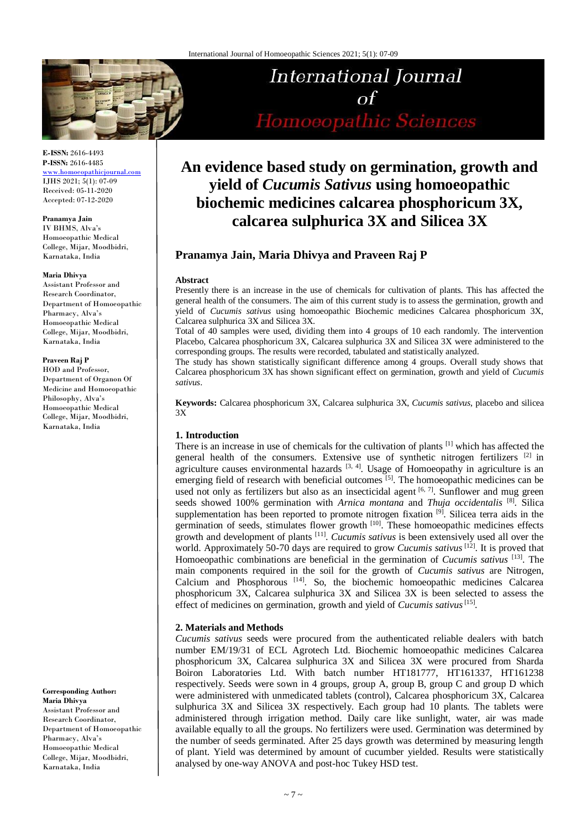

**E-ISSN:** 2616-4493 **P-ISSN:** 2616-4485

[www.homoeopathicjournal.com](http://www.homoeopathicjournal.com/) IJHS 2021; 5(1): 07-09 Received: 05-11-2020 Accepted: 07-12-2020

#### **Pranamya Jain**

IV BHMS, Alva's Homoeopathic Medical College, Mijar, Moodbidri, Karnataka, India

#### **Maria Dhivya**

Assistant Professor and Research Coordinator, Department of Homoeopathic Pharmacy, Alva's Homoeopathic Medical College, Mijar, Moodbidri, Karnataka, India

# **Praveen Raj P**

HOD and Professor, Department of Organon Of Medicine and Homoeopathic Philosophy, Alva's Homoeopathic Medical College, Mijar, Moodbidri, Karnataka, India

**Corresponding Author: Maria Dhivya** Assistant Professor and Research Coordinator, Department of Homoeopathic Pharmacy, Alva's Homoeopathic Medical College, Mijar, Moodbidri, Karnataka, India

# International Journal  $\sigma$ f Homoeopathic Sciences

# **An evidence based study on germination, growth and yield of** *Cucumis Sativus* **using homoeopathic biochemic medicines calcarea phosphoricum 3X, calcarea sulphurica 3X and Silicea 3X**

# **Pranamya Jain, Maria Dhivya and Praveen Raj P**

#### **Abstract**

Presently there is an increase in the use of chemicals for cultivation of plants. This has affected the general health of the consumers. The aim of this current study is to assess the germination, growth and yield of *Cucumis sativus* using homoeopathic Biochemic medicines Calcarea phosphoricum 3X, Calcarea sulphurica 3X and Silicea 3X.

Total of 40 samples were used, dividing them into 4 groups of 10 each randomly. The intervention Placebo, Calcarea phosphoricum 3X*,* Calcarea sulphurica 3X and Silicea 3X were administered to the corresponding groups. The results were recorded, tabulated and statistically analyzed.

The study has shown statistically significant difference among 4 groups. Overall study shows that Calcarea phosphoricum 3X has shown significant effect on germination, growth and yield of *Cucumis sativus*.

**Keywords:** Calcarea phosphoricum 3X, Calcarea sulphurica 3X, *Cucumis sativus*, placebo and silicea 3X

# **1. Introduction**

There is an increase in use of chemicals for the cultivation of plants [1] which has affected the general health of the consumers. Extensive use of synthetic nitrogen fertilizers [2] in agriculture causes environmental hazards  $[3, 4]$ . Usage of Homoeopathy in agriculture is an emerging field of research with beneficial outcomes  $[5]$ . The homoeopathic medicines can be used not only as fertilizers but also as an insecticidal agent  $[6, 7]$ . Sunflower and mug green seeds showed 100% germination with *Arnica montana* and *Thuja occidentalis* [8] . Silica supplementation has been reported to promote nitrogen fixation  $[9]$ . Silicea terra aids in the germination of seeds, stimulates flower growth <sup>[10]</sup>. These homoeopathic medicines effects growth and development of plants [11] . *Cucumis sativus* is been extensively used all over the world. Approximately 50-70 days are required to grow *Cucumis sativus* [12] . It is proved that Homoeopathic combinations are beneficial in the germination of *Cucumis sativus* [13] . The main components required in the soil for the growth of *Cucumis sativus* are Nitrogen, Calcium and Phosphorous [14]. So, the biochemic homoeopathic medicines Calcarea phosphoricum 3X, Calcarea sulphurica 3X and Silicea 3X is been selected to assess the effect of medicines on germination, growth and yield of *Cucumis sativus*<sup>[15]</sup>.

#### **2. Materials and Methods**

*Cucumis sativus* seeds were procured from the authenticated reliable dealers with batch number EM/19/31 of ECL Agrotech Ltd. Biochemic homoeopathic medicines Calcarea phosphoricum 3X, Calcarea sulphurica 3X and Silicea 3X were procured from Sharda Boiron Laboratories Ltd. With batch number HT181777, HT161337, HT161238 respectively. Seeds were sown in 4 groups, group A, group B, group C and group D which were administered with unmedicated tablets (control), Calcarea phosphoricum 3X*,* Calcarea sulphurica 3X and Silicea 3X respectively. Each group had 10 plants. The tablets were administered through irrigation method. Daily care like sunlight, water, air was made available equally to all the groups. No fertilizers were used. Germination was determined by the number of seeds germinated. After 25 days growth was determined by measuring length of plant. Yield was determined by amount of cucumber yielded. Results were statistically analysed by one-way ANOVA and post-hoc Tukey HSD test.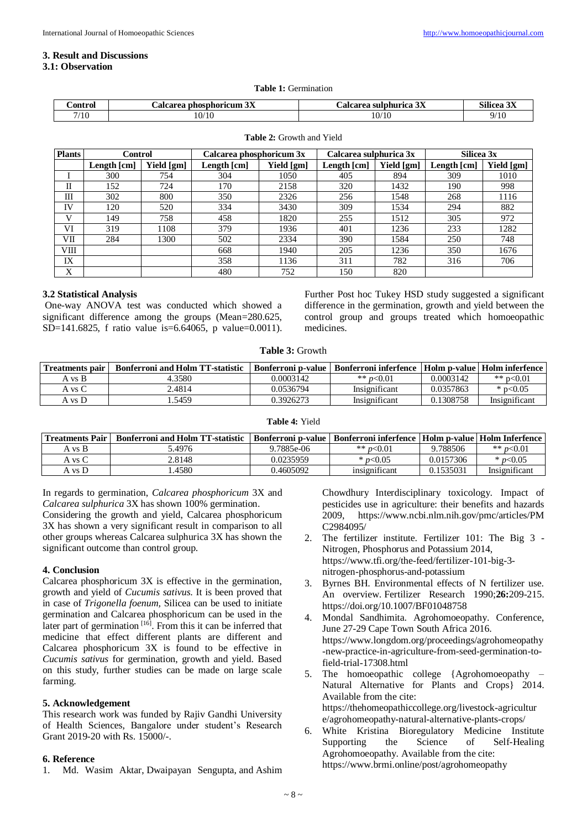#### **3. Result and Discussions**

# **3.1: Observation**

| <b>∶ontrol</b> | $\mathbf{a}$<br>phosphoricum<br>alcarea<br>$J\Lambda$ | .3v<br>coroo<br>$\sim$ sulphurica $3\Delta$<br>$\sim$ | $- - -$<br>$\sim \cdot \cdot$<br>Silicea 3X |
|----------------|-------------------------------------------------------|-------------------------------------------------------|---------------------------------------------|
| 7/10           | /10<br>10/                                            | 10/10<br>-10<br>__                                    | /10<br>u.                                   |

| <b>Plants</b> | Control                     |            | Calcarea phosphoricum 3x    |            | Calcarea sulphurica 3x |            | Silicea 3x  |            |
|---------------|-----------------------------|------------|-----------------------------|------------|------------------------|------------|-------------|------------|
|               | Length $\lceil$ cm $\rceil$ | Yield [gm] | Length $\lceil$ cm $\rceil$ | Yield [gm] | Length [cm]            | Yield [gm] | Length [cm] | Yield [gm] |
|               | 300                         | 754        | 304                         | 1050       | 405                    | 894        | 309         | 1010       |
| П             | 152                         | 724        | 170                         | 2158       | 320                    | 1432       | 190         | 998        |
| Ш             | 302                         | 800        | 350                         | 2326       | 256                    | 1548       | 268         | 1116       |
| IV            | 120                         | 520        | 334                         | 3430       | 309                    | 1534       | 294         | 882        |
| V             | 149                         | 758        | 458                         | 1820       | 255                    | 1512       | 305         | 972        |
| VI            | 319                         | 1108       | 379                         | 1936       | 401                    | 1236       | 233         | 1282       |
| VІІ           | 284                         | 1300       | 502                         | 2334       | 390                    | 1584       | 250         | 748        |
| VIII          |                             |            | 668                         | 1940       | 205                    | 1236       | 350         | 1676       |
| IX            |                             |            | 358                         | 1136       | 311                    | 782        | 316         | 706        |
| X             |                             |            | 480                         | 752        | 150                    | 820        |             |            |

#### **Table 2:** Growth and Yield

# **3.2 Statistical Analysis**

One-way ANOVA test was conducted which showed a significant difference among the groups (Mean=280.625, SD=141.6825, f ratio value is=6.64065, p value=0.0011).

Further Post hoc Tukey HSD study suggested a significant difference in the germination, growth and yield between the control group and groups treated which homoeopathic medicines.

### **Table 3:** Growth

| Treatments pair | <b>Bonferroni and Holm TT-statistic</b> | Bonferroni p-value | Bonferroni inferfence   Holm p-value   Holm inferfence |           |               |
|-----------------|-----------------------------------------|--------------------|--------------------------------------------------------|-----------|---------------|
| A vs B          | 4.3580                                  | 0.0003142          | ** $p<0.01$                                            | 0.0003142 | ** $p<0.01$   |
| A vs C          | 2.4814                                  | 0.0536794          | Insignificant                                          | 0.0357863 | * $p<0.05$    |
| A vs D          | .5459                                   | 0.3926273          | Insignificant                                          | 0.1308758 | Insignificant |

#### **Table 4:** Yield

| <b>Treatments Pair</b> | <b>Bonferroni and Holm TT-statistic</b> |            | Bonferroni p-value   Bonferroni inferfence   Holm p-value   Holm Inferfence |           |               |
|------------------------|-----------------------------------------|------------|-----------------------------------------------------------------------------|-----------|---------------|
| A vs B                 | .4976                                   | 9.7885e-06 | ** $p<0.01$                                                                 | 9.788506  | ** $p<0.01$   |
| A vs C                 | 2.8148                                  | 0.0235959  | * $p<0.05$                                                                  | 0.0157306 | * $p<0.05$    |
| A vs D                 | 4580                                    | 0.4605092  | insignificant                                                               | 0.1535031 | Insignificant |

In regards to germination, *Calcarea phosphoricum* 3X and *Calcarea sulphurica* 3X has shown 100% germination.

Considering the growth and yield, Calcarea phosphoricum 3X has shown a very significant result in comparison to all other groups whereas Calcarea sulphurica 3X has shown the significant outcome than control group.

#### **4. Conclusion**

Calcarea phosphoricum 3X is effective in the germination, growth and yield of *Cucumis sativus*. It is been proved that in case of *Trigonella foenum,* Silicea can be used to initiate germination and Calcarea phosphoricum can be used in the later part of germination<sup>[16]</sup>. From this it can be inferred that medicine that effect different plants are different and Calcarea phosphoricum 3X is found to be effective in *Cucumis sativus* for germination, growth and yield. Based on this study, further studies can be made on large scale farming.

#### **5. Acknowledgement**

This research work was funded by Rajiv Gandhi University of Health Sciences, Bangalore under student's Research Grant 2019-20 with Rs. 15000/-.

#### **6. Reference**

1. Md. Wasim Aktar, Dwaipayan Sengupta, and Ashim

Chowdhury Interdisciplinary toxicology. Impact of pesticides use in agriculture: their benefits and hazards 2009, https://www.ncbi.nlm.nih.gov/pmc/articles/PM C2984095/

- 2. The fertilizer institute. Fertilizer 101: The Big 3 Nitrogen, Phosphorus and Potassium 2014, https://www.tfi.org/the-feed/fertilizer-101-big-3 nitrogen-phosphorus-and-potassium
- 3. Byrnes BH. Environmental effects of N fertilizer use. An overview. Fertilizer Research 1990;**26:**209-215. https://doi.org/10.1007/BF01048758
- 4. Mondal Sandhimita. Agrohomoeopathy. Conference, June 27-29 Cape Town South Africa 2016. https://www.longdom.org/proceedings/agrohomeopathy -new-practice-in-agriculture-from-seed-germination-tofield-trial-17308.html
- 5. The homoeopathic college {Agrohomoeopathy Natural Alternative for Plants and Crops} 2014. Available from the cite: https://thehomeopathiccollege.org/livestock-agricultur e/agrohomeopathy-natural-alternative-plants-crops/
- 6. White Kristina Bioregulatory Medicine Institute Supporting the Science of Self-Healing Agrohomoeopathy. Available from the cite: https://www.brmi.online/post/agrohomeopathy